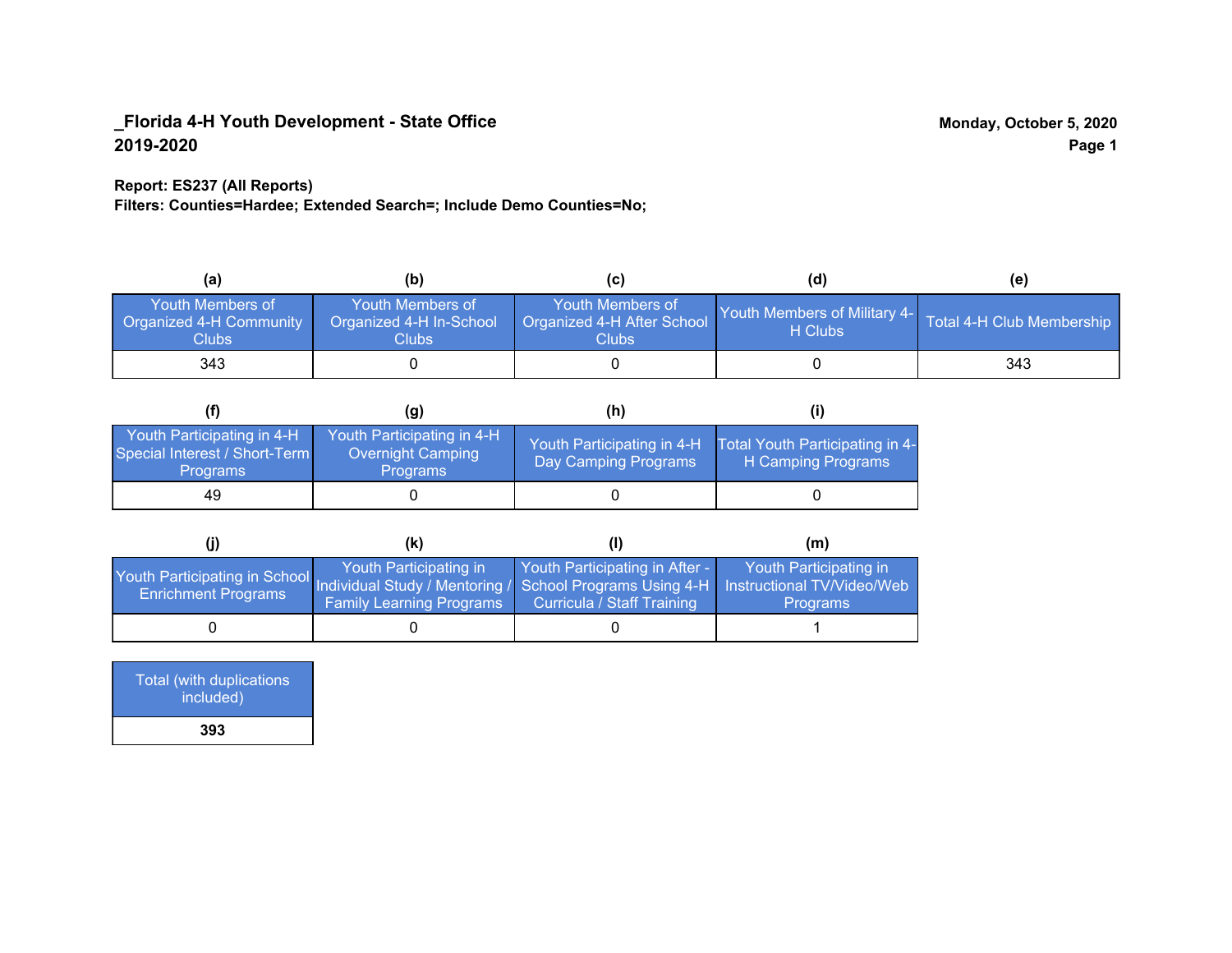### **Report: ES237 (All Reports)**

**Filters: Counties=Hardee; Extended Search=; Include Demo Counties=No;**

| (a)                                                  | (b)                                                   | (C)                                                       | (d)                                                               | (e) |
|------------------------------------------------------|-------------------------------------------------------|-----------------------------------------------------------|-------------------------------------------------------------------|-----|
| Youth Members of<br>Organized 4-H Community<br>Clubs | Youth Members of<br>Organized 4-H In-School<br>Clubs: | Youth Members of<br>Organized 4-H After School<br>Clubs : | Youth Members of Military 4- Total 4-H Club Membership<br>H Clubs |     |
| 343                                                  |                                                       |                                                           |                                                                   | 343 |

|                                                                                | (g)                                                                       | (h)                                                 |                                                       |
|--------------------------------------------------------------------------------|---------------------------------------------------------------------------|-----------------------------------------------------|-------------------------------------------------------|
| Youth Participating in 4-H<br>Special Interest / Short-Term<br><b>Programs</b> | Youth Participating in 4-H<br><b>Overnight Camping</b><br><b>Programs</b> | Youth Participating in 4-H,<br>Day Camping Programs | Total Youth Participating in 4-<br>H Camping Programs |
| 49                                                                             |                                                                           |                                                     |                                                       |

|                                                                                                                                                   | (K)                                                       |                                                                     | (m)                                       |
|---------------------------------------------------------------------------------------------------------------------------------------------------|-----------------------------------------------------------|---------------------------------------------------------------------|-------------------------------------------|
| Youth Participating in School Individual Study / Mentoring / School Programs Using 4-H   Instructional TV/Video/Web<br><b>Enrichment Programs</b> | Youth Participating in<br><b>Family Learning Programs</b> | Youth Participating in After -<br><b>Curricula / Staff Training</b> | Youth Participating in<br><b>Programs</b> |
|                                                                                                                                                   |                                                           |                                                                     |                                           |

| <b>Total (with duplications)</b><br>included) |  |
|-----------------------------------------------|--|
| 393                                           |  |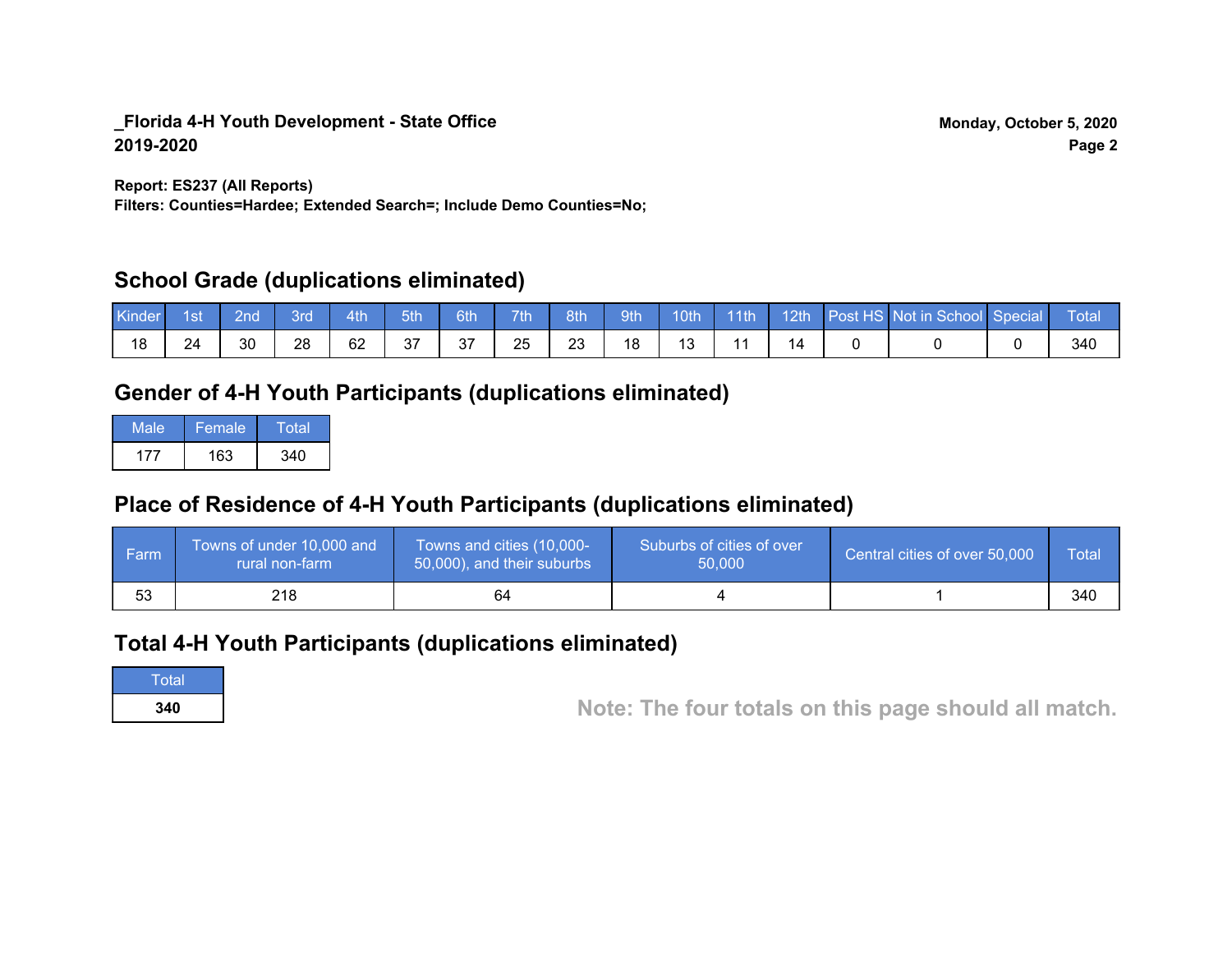**Report: ES237 (All Reports)**

**Filters: Counties=Hardee; Extended Search=; Include Demo Counties=No;**

# **School Grade (duplications eliminated)**

| Kinder | 1st | 2nd | Зrd | 4th | 5th      | 6th | 7th | 8th | 9th | 10th                | $\sqrt{11}$ | 12th | Post HS Not in School Special | Total |
|--------|-----|-----|-----|-----|----------|-----|-----|-----|-----|---------------------|-------------|------|-------------------------------|-------|
| 18     | 24  | 30  | 28  | 62  | ົ<br>ا ت | 37  | 25  | 23  | 18  | $\overline{a}$<br>ັ |             |      |                               | 340   |

# **Gender of 4-H Youth Participants (duplications eliminated)**

| Male | Female | Total |
|------|--------|-------|
| 177  | 163    | 340   |

# **Place of Residence of 4-H Youth Participants (duplications eliminated)**

| <b>Farm</b> | Towns of under 10,000 and<br>rural non-farm | Towns and cities (10,000-<br>50,000), and their suburbs | Suburbs of cities of over<br>50,000 | Central cities of over 50,000 | Total |
|-------------|---------------------------------------------|---------------------------------------------------------|-------------------------------------|-------------------------------|-------|
| 53          | 218                                         | 64                                                      |                                     |                               | 340   |

# **Total 4-H Youth Participants (duplications eliminated)**

**Total** 

**<sup>340</sup> Note: The four totals on this page should all match.**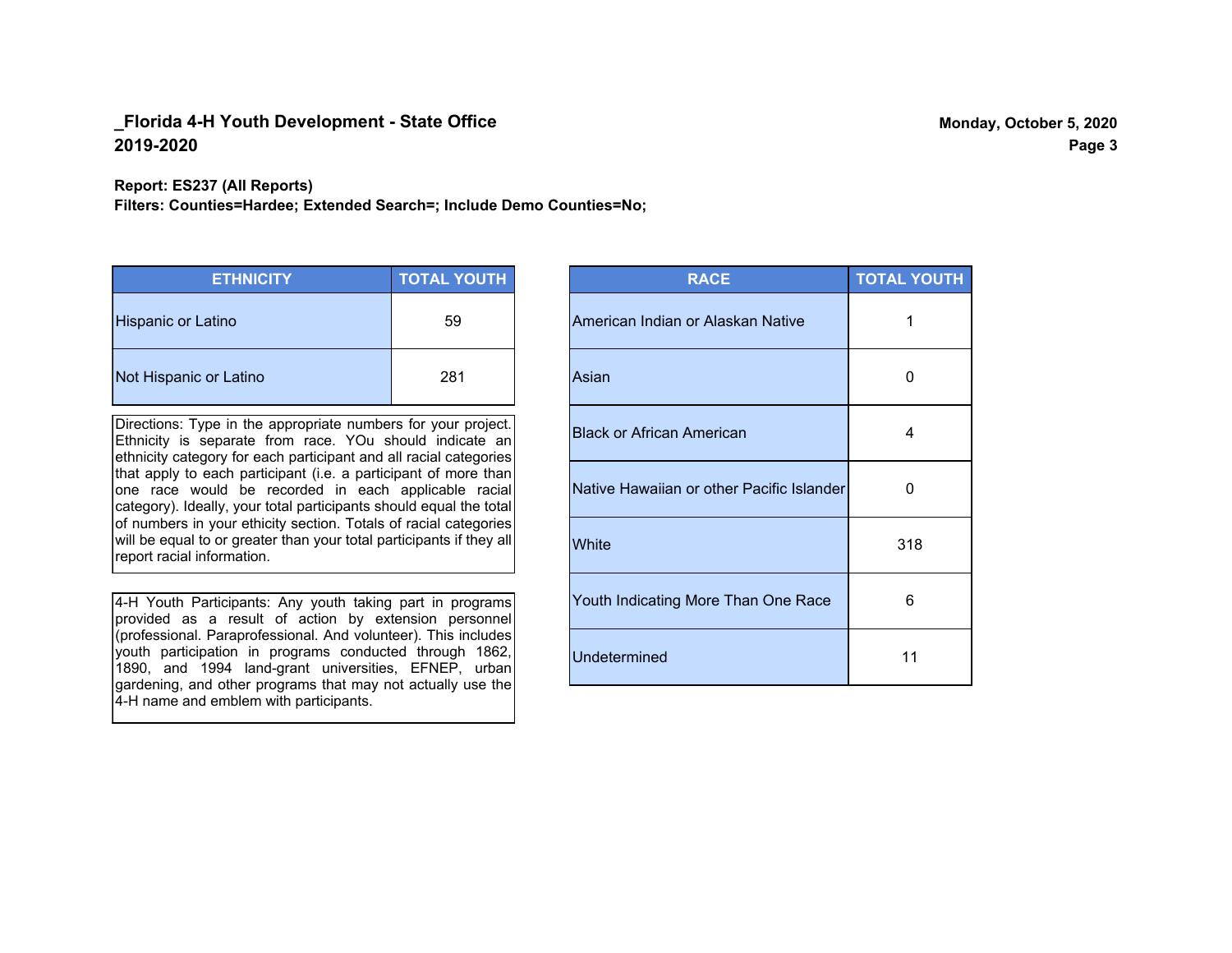**Report: ES237 (All Reports)**

**Filters: Counties=Hardee; Extended Search=; Include Demo Counties=No;**

| <b>ETHNICITY</b>          | <b>TOTAL YOUTH</b> |
|---------------------------|--------------------|
| <b>Hispanic or Latino</b> | 59                 |
| Not Hispanic or Latino    | 281                |

Directions: Type in the appropriate numbers for your project. Ethnicity is separate from race. YOu should indicate an ethnicity category for each participant and all racial categories that apply to each participant (i.e. a participant of more than one race would be recorded in each applicable racial category). Ideally, your total participants should equal the total of numbers in your ethicity section. Totals of racial categories will be equal to or greater than your total participants if they all report racial information.

4-H Youth Participants: Any youth taking part in programs provided as a result of action by extension personnel (professional. Paraprofessional. And volunteer). This includes youth participation in programs conducted through 1862, 1890, and 1994 land-grant universities, EFNEP, urban gardening, and other programs that may not actually use the 4-H name and emblem with participants.

| <b>RACE</b>                               | <b>TOTAL YOUTH</b> |
|-------------------------------------------|--------------------|
| American Indian or Alaskan Native         | 1                  |
| Asian                                     | O                  |
| <b>Black or African American</b>          | 4                  |
| Native Hawaiian or other Pacific Islander | 0                  |
| White                                     | 318                |
| Youth Indicating More Than One Race       | 6                  |
| <b>Undetermined</b>                       | 11                 |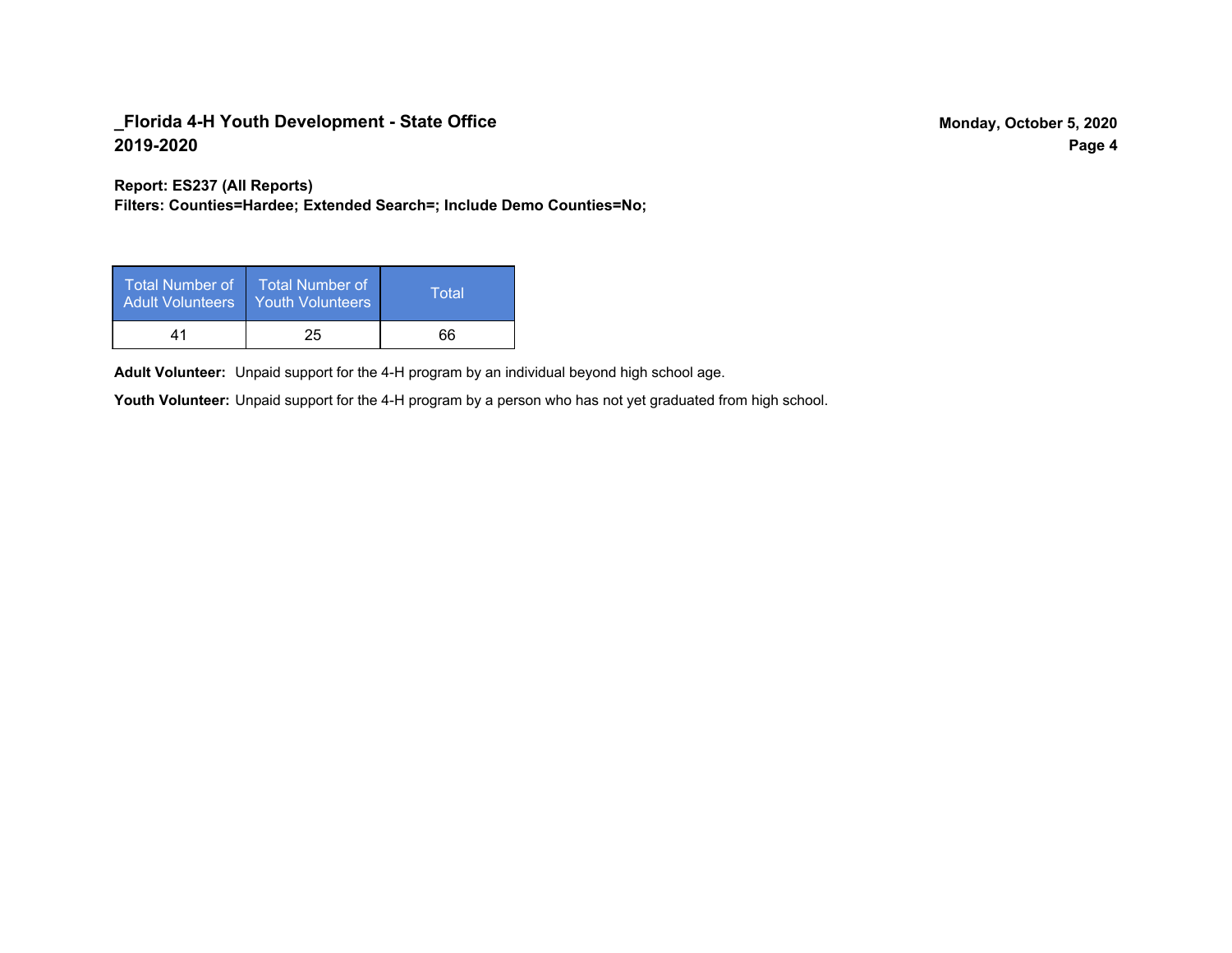**Report: ES237 (All Reports)**

**Filters: Counties=Hardee; Extended Search=; Include Demo Counties=No;**

| Total Number of<br><b>Adult Volunteers</b> | <b>Total Number of</b><br><b>Youth Volunteers</b> | Total |
|--------------------------------------------|---------------------------------------------------|-------|
| 41                                         | 25                                                | 66    |

Adult Volunteer: Unpaid support for the 4-H program by an individual beyond high school age.

Youth Volunteer: Unpaid support for the 4-H program by a person who has not yet graduated from high school.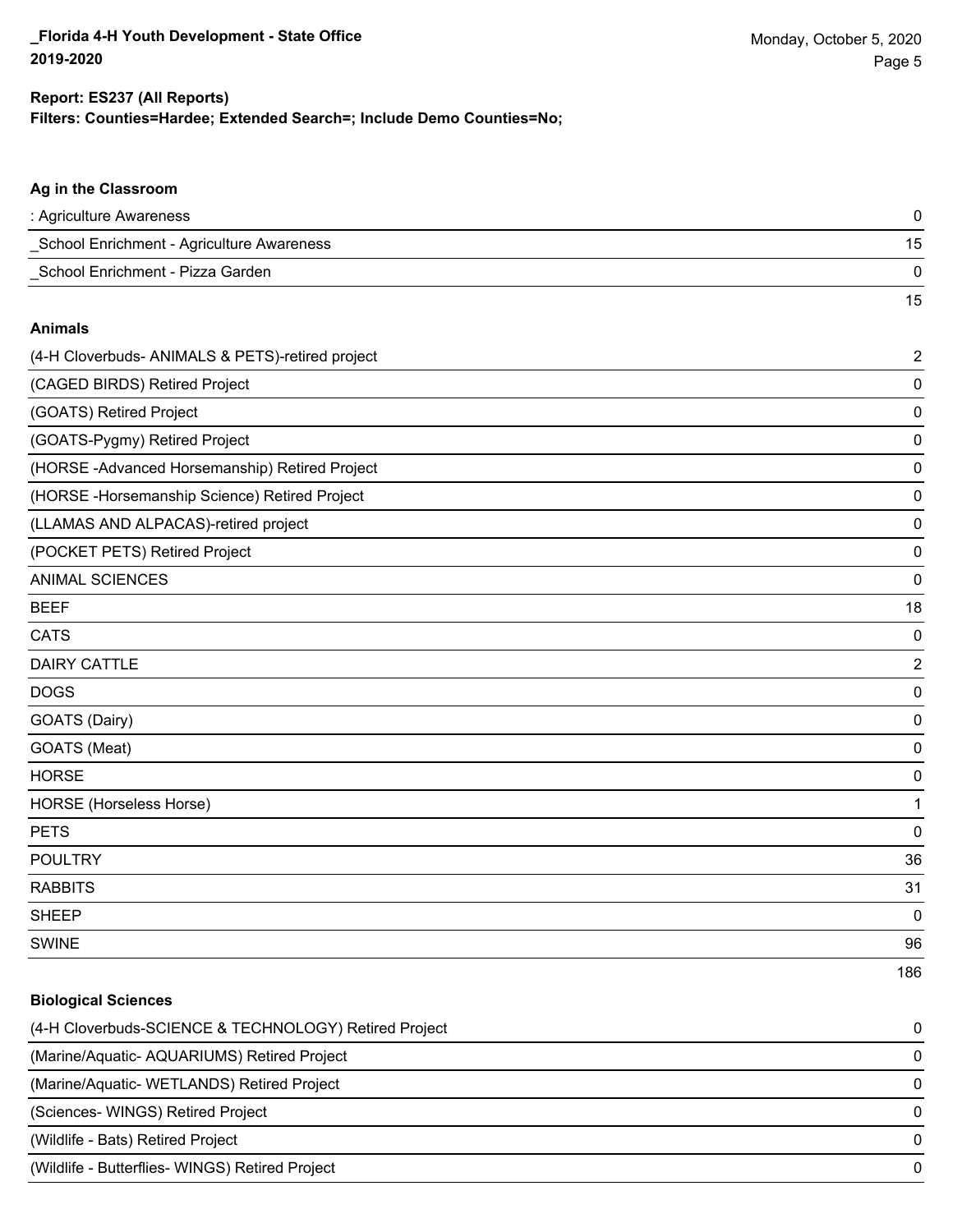15

### **Filters: Counties=Hardee; Extended Search=; Include Demo Counties=No; Report: ES237 (All Reports)**

# **Ag in the Classroom**

| : Agriculture Awareness                   |  |
|-------------------------------------------|--|
| School Enrichment - Agriculture Awareness |  |
| School Enrichment - Pizza Garden          |  |

#### **Animals**

| (4-H Cloverbuds- ANIMALS & PETS)-retired project | $\mathbf 2$    |
|--------------------------------------------------|----------------|
| (CAGED BIRDS) Retired Project                    | 0              |
| (GOATS) Retired Project                          | 0              |
| (GOATS-Pygmy) Retired Project                    | 0              |
| (HORSE -Advanced Horsemanship) Retired Project   | 0              |
| (HORSE-Horsemanship Science) Retired Project     | 0              |
| (LLAMAS AND ALPACAS)-retired project             | 0              |
| (POCKET PETS) Retired Project                    | 0              |
| <b>ANIMAL SCIENCES</b>                           | 0              |
| <b>BEEF</b>                                      | 18             |
| <b>CATS</b>                                      | 0              |
| <b>DAIRY CATTLE</b>                              | $\overline{2}$ |
| <b>DOGS</b>                                      | 0              |
| GOATS (Dairy)                                    | 0              |
| GOATS (Meat)                                     | 0              |
| <b>HORSE</b>                                     | 0              |
| HORSE (Horseless Horse)                          | 1              |
| <b>PETS</b>                                      | $\mathbf 0$    |
| <b>POULTRY</b>                                   | 36             |
| <b>RABBITS</b>                                   | 31             |
| <b>SHEEP</b>                                     | 0              |
| <b>SWINE</b>                                     | 96             |
|                                                  | 186            |

# **Biological Sciences**

| (4-H Cloverbuds-SCIENCE & TECHNOLOGY) Retired Project | $\Omega$ |
|-------------------------------------------------------|----------|
| (Marine/Aquatic- AQUARIUMS) Retired Project           | $\Omega$ |
| (Marine/Aquatic-WETLANDS) Retired Project             | $\Omega$ |
| (Sciences- WINGS) Retired Project                     | $\Omega$ |
| (Wildlife - Bats) Retired Project                     | 0        |
| (Wildlife - Butterflies- WINGS) Retired Project       | 0        |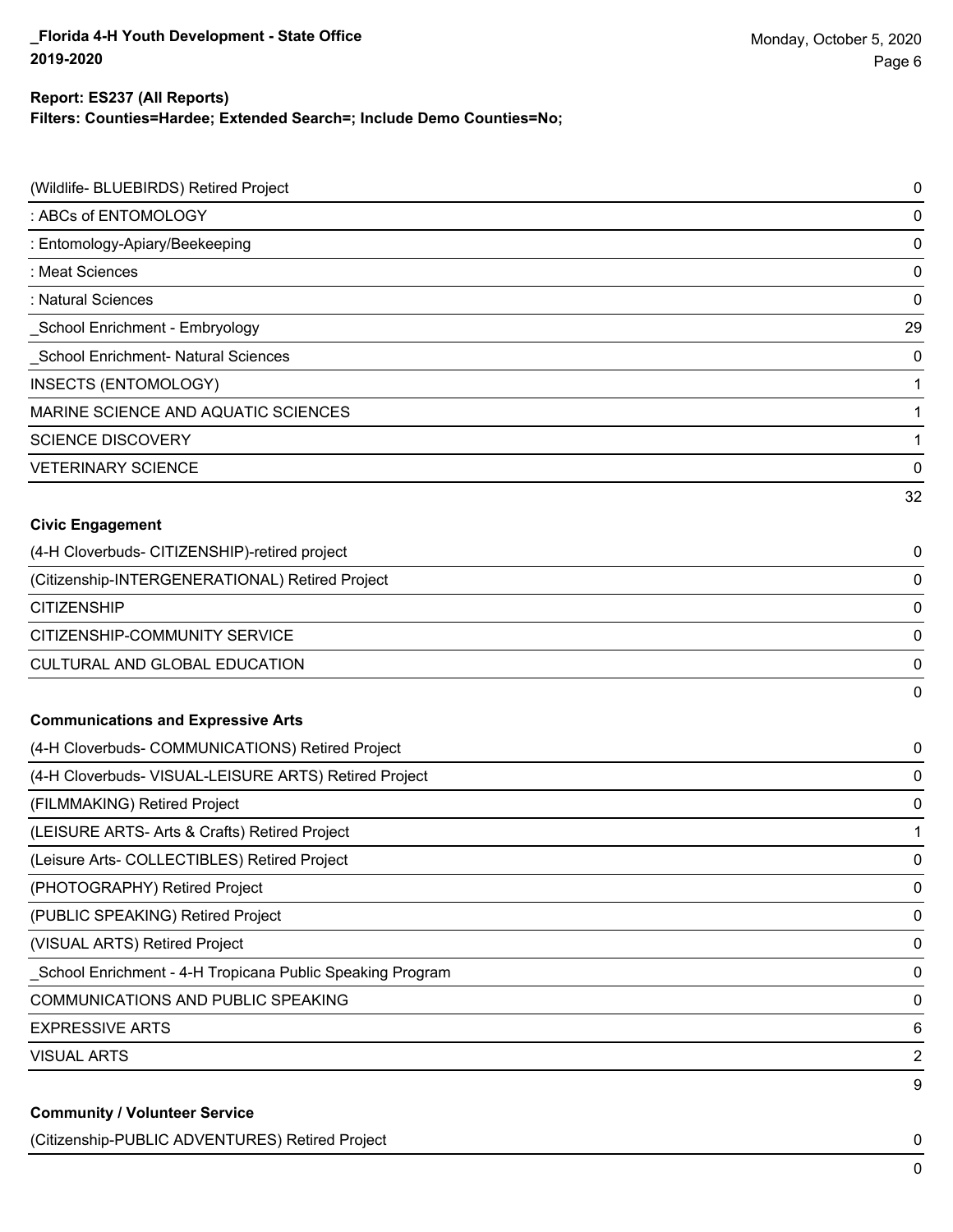# **Report: ES237 (All Reports)**

**Filters: Counties=Hardee; Extended Search=; Include Demo Counties=No;**

| (Wildlife- BLUEBIRDS) Retired Project                     | 0         |
|-----------------------------------------------------------|-----------|
| : ABCs of ENTOMOLOGY                                      | 0         |
| : Entomology-Apiary/Beekeeping                            | 0         |
| : Meat Sciences                                           | 0         |
| : Natural Sciences                                        | 0         |
| School Enrichment - Embryology                            | 29        |
| School Enrichment- Natural Sciences                       | 0         |
| INSECTS (ENTOMOLOGY)                                      | 1         |
| MARINE SCIENCE AND AQUATIC SCIENCES                       | 1         |
| <b>SCIENCE DISCOVERY</b>                                  | 1         |
| <b>VETERINARY SCIENCE</b>                                 | $\pmb{0}$ |
|                                                           | 32        |
| <b>Civic Engagement</b>                                   |           |
| (4-H Cloverbuds- CITIZENSHIP)-retired project             | 0         |
| (Citizenship-INTERGENERATIONAL) Retired Project           | 0         |
| <b>CITIZENSHIP</b>                                        | $\pmb{0}$ |
| CITIZENSHIP-COMMUNITY SERVICE                             | $\pmb{0}$ |
| <b>CULTURAL AND GLOBAL EDUCATION</b>                      | 0         |
|                                                           | 0         |
| <b>Communications and Expressive Arts</b>                 |           |
| (4-H Cloverbuds- COMMUNICATIONS) Retired Project          | 0         |
| (4-H Cloverbuds- VISUAL-LEISURE ARTS) Retired Project     | 0         |
| (FILMMAKING) Retired Project                              | 0         |
| (LEISURE ARTS- Arts & Crafts) Retired Project             | 1         |
| (Leisure Arts- COLLECTIBLES) Retired Project              | 0         |
| (PHOTOGRAPHY) Retired Project                             | 0         |
| (PUBLIC SPEAKING) Retired Project                         | 0         |
| (VISUAL ARTS) Retired Project                             | 0         |
| School Enrichment - 4-H Tropicana Public Speaking Program | $\pmb{0}$ |
| <b>COMMUNICATIONS AND PUBLIC SPEAKING</b>                 | 0         |
| <b>EXPRESSIVE ARTS</b>                                    | 6         |
| <b>VISUAL ARTS</b>                                        | 2         |
|                                                           | 9         |
| <b>Community / Volunteer Service</b>                      |           |

(Citizenship-PUBLIC ADVENTURES) Retired Project 0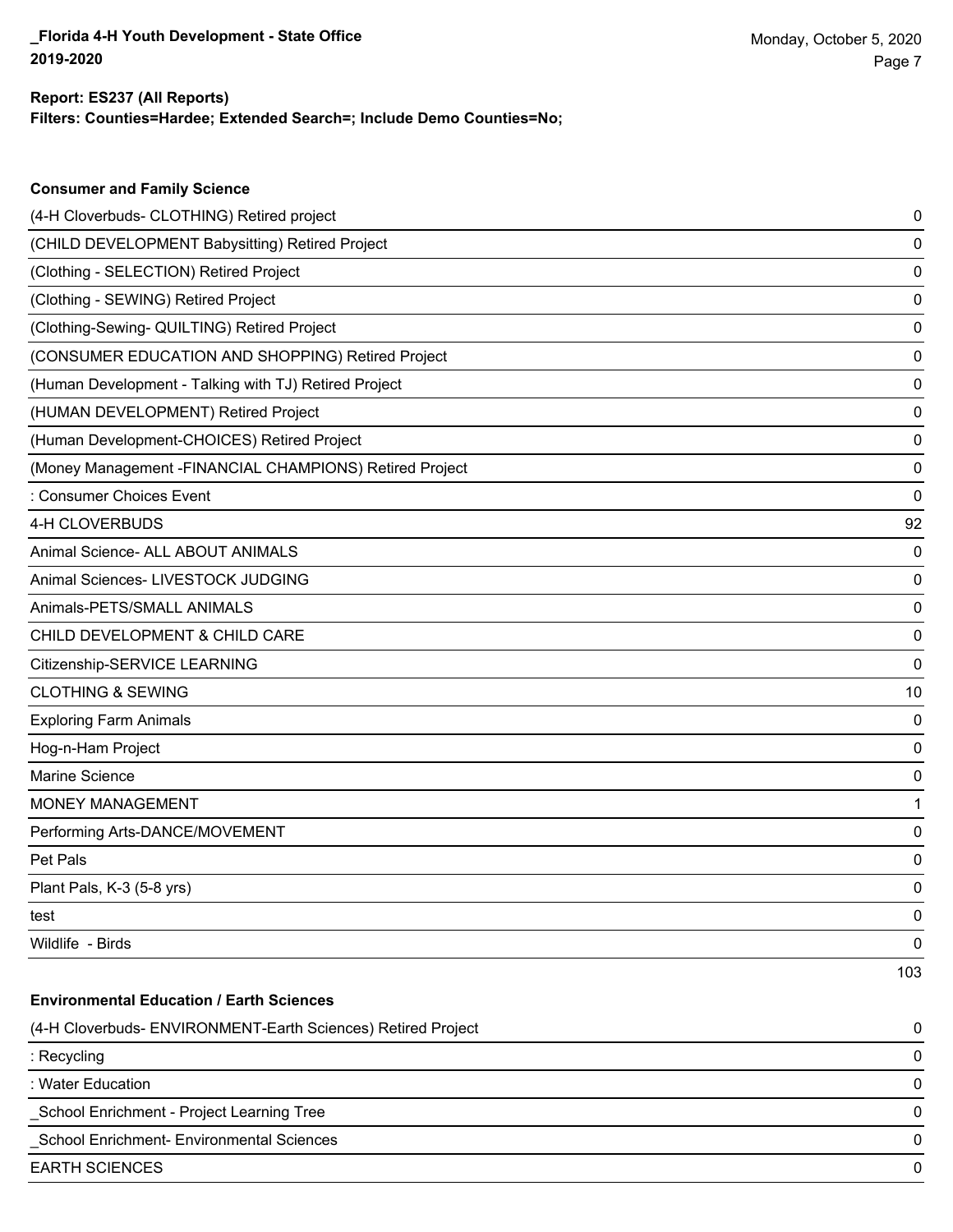#### **Filters: Counties=Hardee; Extended Search=; Include Demo Counties=No; Report: ES237 (All Reports)**

| <b>Consumer and Family Science</b>                           |     |
|--------------------------------------------------------------|-----|
| (4-H Cloverbuds- CLOTHING) Retired project                   | 0   |
| (CHILD DEVELOPMENT Babysitting) Retired Project              | 0   |
| (Clothing - SELECTION) Retired Project                       | 0   |
| (Clothing - SEWING) Retired Project                          | 0   |
| (Clothing-Sewing- QUILTING) Retired Project                  | 0   |
| (CONSUMER EDUCATION AND SHOPPING) Retired Project            | 0   |
| (Human Development - Talking with TJ) Retired Project        | 0   |
| (HUMAN DEVELOPMENT) Retired Project                          | 0   |
| (Human Development-CHOICES) Retired Project                  | 0   |
| (Money Management - FINANCIAL CHAMPIONS) Retired Project     | 0   |
| : Consumer Choices Event                                     | 0   |
| 4-H CLOVERBUDS                                               | 92  |
| Animal Science- ALL ABOUT ANIMALS                            | 0   |
| Animal Sciences- LIVESTOCK JUDGING                           | 0   |
| Animals-PETS/SMALL ANIMALS                                   | 0   |
| CHILD DEVELOPMENT & CHILD CARE                               | 0   |
| Citizenship-SERVICE LEARNING                                 | 0   |
| <b>CLOTHING &amp; SEWING</b>                                 | 10  |
| <b>Exploring Farm Animals</b>                                | 0   |
| Hog-n-Ham Project                                            | 0   |
| Marine Science                                               | 0   |
| <b>MONEY MANAGEMENT</b>                                      | 1   |
| Performing Arts-DANCE/MOVEMENT                               | 0   |
| Pet Pals                                                     | 0   |
| Plant Pals, K-3 (5-8 yrs)                                    | 0   |
| test                                                         | 0   |
| Wildlife - Birds                                             | 0   |
|                                                              | 103 |
| <b>Environmental Education / Earth Sciences</b>              |     |
| (4-H Cloverbuds- ENVIRONMENT-Earth Sciences) Retired Project | 0   |
| : Recycling                                                  | 0   |
| : Water Education                                            | 0   |
| School Enrichment - Project Learning Tree                    | 0   |
| School Enrichment- Environmental Sciences                    | 0   |
| <b>EARTH SCIENCES</b>                                        | 0   |
|                                                              |     |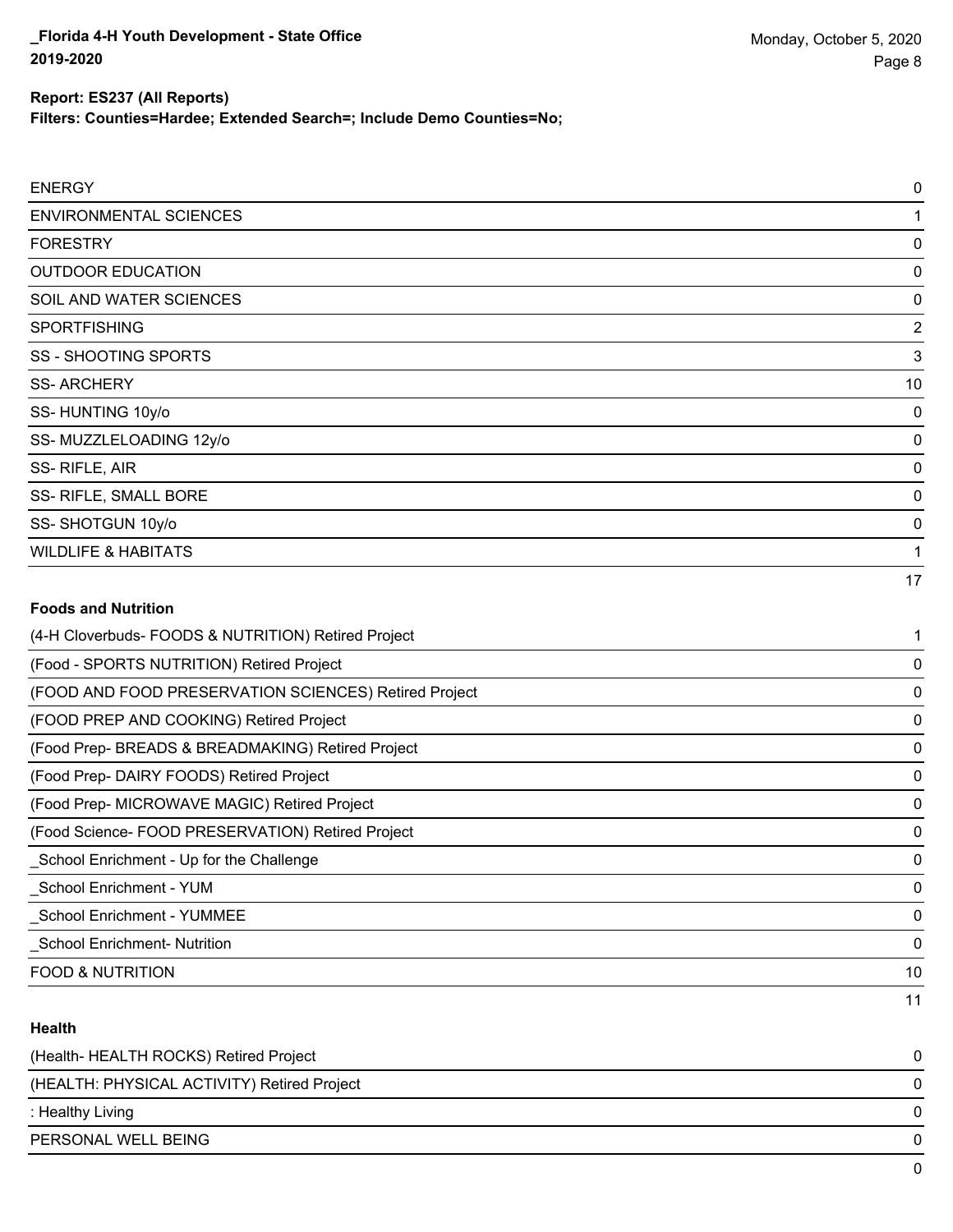**Filters: Counties=Hardee; Extended Search=; Include Demo Counties=No;**

| (4-H Cloverbuds- FOODS & NUTRITION) Retired Project |                |
|-----------------------------------------------------|----------------|
| <b>Foods and Nutrition</b>                          |                |
|                                                     | 17             |
| <b>WILDLIFE &amp; HABITATS</b>                      |                |
| SS-SHOTGUN 10y/o                                    | 0              |
| SS- RIFLE, SMALL BORE                               | 0              |
| SS-RIFLE, AIR                                       | 0              |
| SS-MUZZLELOADING 12y/o                              | 0              |
| SS-HUNTING 10y/o                                    | 0              |
| <b>SS-ARCHERY</b>                                   | 10             |
| SS - SHOOTING SPORTS                                | 3              |
| <b>SPORTFISHING</b>                                 | $\overline{c}$ |
| SOIL AND WATER SCIENCES                             | 0              |
| <b>OUTDOOR EDUCATION</b>                            | 0              |
| <b>FORESTRY</b>                                     | 0              |
| <b>ENVIRONMENTAL SCIENCES</b>                       |                |
| <b>ENERGY</b>                                       | 0              |

| (Food - SPORTS NUTRITION) Retired Project             | 0  |
|-------------------------------------------------------|----|
| (FOOD AND FOOD PRESERVATION SCIENCES) Retired Project | 0  |
| (FOOD PREP AND COOKING) Retired Project               | 0  |
| (Food Prep- BREADS & BREADMAKING) Retired Project     | 0  |
| (Food Prep- DAIRY FOODS) Retired Project              | 0  |
| (Food Prep- MICROWAVE MAGIC) Retired Project          | 0  |
| (Food Science-FOOD PRESERVATION) Retired Project      | 0  |
| School Enrichment - Up for the Challenge              | 0  |
| School Enrichment - YUM                               | 0  |
| <b>School Enrichment - YUMMEE</b>                     | 0  |
| <b>School Enrichment- Nutrition</b>                   | 0  |
| <b>FOOD &amp; NUTRITION</b>                           | 10 |
|                                                       | 11 |

## **Health**

| (Health-HEALTH ROCKS) Retired Project       | 0        |
|---------------------------------------------|----------|
| (HEALTH: PHYSICAL ACTIVITY) Retired Project | 0        |
| : Healthy Living                            | 0        |
| PERSONAL WELL BEING                         | $\Omega$ |
|                                             |          |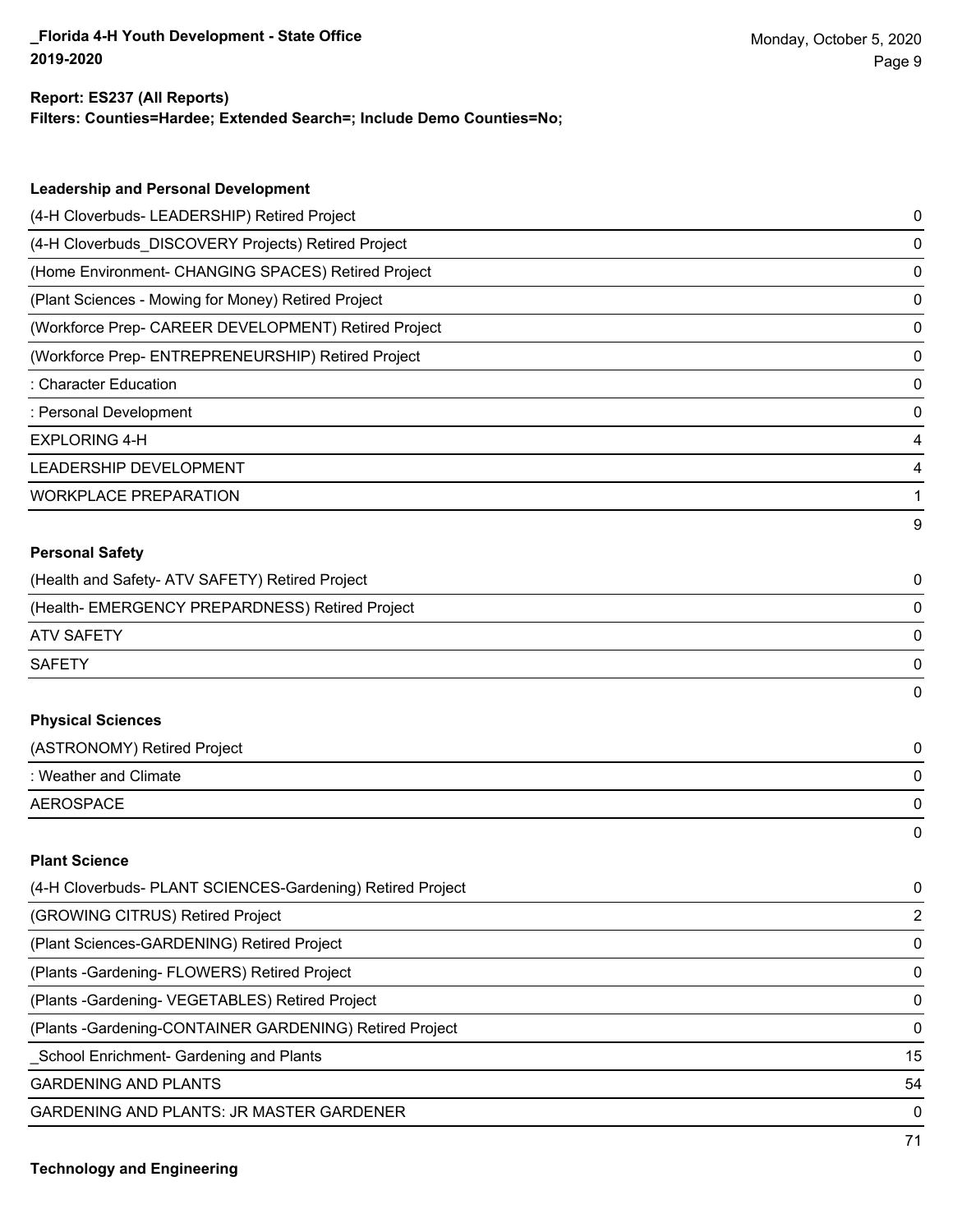## **Report: ES237 (All Reports)**

**Filters: Counties=Hardee; Extended Search=; Include Demo Counties=No;**

| <b>Leadership and Personal Development</b>                 |   |
|------------------------------------------------------------|---|
| (4-H Cloverbuds- LEADERSHIP) Retired Project               | 0 |
| (4-H Cloverbuds_DISCOVERY Projects) Retired Project        | 0 |
| (Home Environment- CHANGING SPACES) Retired Project        | 0 |
| (Plant Sciences - Mowing for Money) Retired Project        | 0 |
| (Workforce Prep- CAREER DEVELOPMENT) Retired Project       | 0 |
| (Workforce Prep- ENTREPRENEURSHIP) Retired Project         | 0 |
| : Character Education                                      | 0 |
| : Personal Development                                     | 0 |
| <b>EXPLORING 4-H</b>                                       | 4 |
| LEADERSHIP DEVELOPMENT                                     | 4 |
| <b>WORKPLACE PREPARATION</b>                               | 1 |
|                                                            | 9 |
| <b>Personal Safety</b>                                     |   |
| (Health and Safety- ATV SAFETY) Retired Project            | 0 |
| (Health- EMERGENCY PREPARDNESS) Retired Project            | 0 |
| <b>ATV SAFETY</b>                                          | 0 |
| <b>SAFETY</b>                                              | 0 |
|                                                            | 0 |
| <b>Physical Sciences</b>                                   |   |
| (ASTRONOMY) Retired Project                                | 0 |
| : Weather and Climate                                      | 0 |
| <b>AEROSPACE</b>                                           | 0 |
|                                                            | 0 |
| <b>Plant Science</b>                                       |   |
| (4-H Cloverbuds- PLANT SCIENCES-Gardening) Retired Project | 0 |

| (GROWING CITRUS) Retired Project                         | $\mathcal{P}$ |
|----------------------------------------------------------|---------------|
| (Plant Sciences-GARDENING) Retired Project               | $\mathbf{0}$  |
| (Plants - Gardening - FLOWERS) Retired Project           | $\Omega$      |
| (Plants - Gardening - VEGETABLES) Retired Project        | $\Omega$      |
| (Plants - Gardening-CONTAINER GARDENING) Retired Project | $\Omega$      |
| School Enrichment- Gardening and Plants                  | 15            |
| <b>GARDENING AND PLANTS</b>                              | 54            |
| <b>GARDENING AND PLANTS: JR MASTER GARDENER</b>          | $\Omega$      |
|                                                          |               |